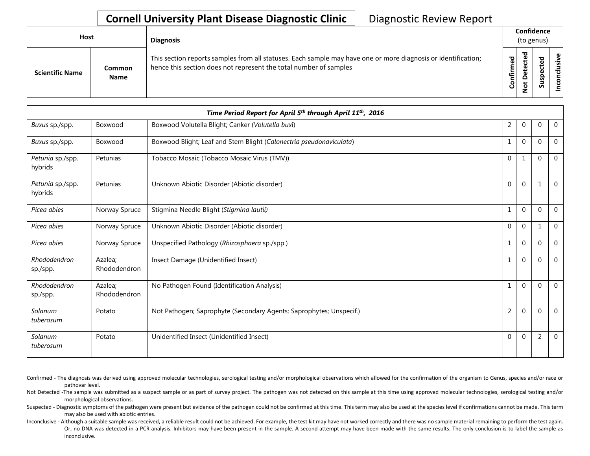## **Cornell University Plant Disease Diagnostic Clinic** | Diagnostic Review Report

| Host                   |                              | <b>Diagnosis</b>                                                                                                                                                                   |           | Confidence<br>(to genus) |        |                    |  |  |
|------------------------|------------------------------|------------------------------------------------------------------------------------------------------------------------------------------------------------------------------------|-----------|--------------------------|--------|--------------------|--|--|
| <b>Scientific Name</b> | <b>Common</b><br><b>Name</b> | This section reports samples from all statuses. Each sample may have one or more diagnosis or identification;<br>hence this section does not represent the total number of samples | Confirmed | ᇃ<br>$\Omega$            | 5<br>ب | usive<br>᠊ᠣ<br>CON |  |  |

| Time Period Report for April 5 <sup>th</sup> through April 11 <sup>th</sup> , 2016 |                         |                                                                     |                |              |              |                |  |
|------------------------------------------------------------------------------------|-------------------------|---------------------------------------------------------------------|----------------|--------------|--------------|----------------|--|
| Buxus sp./spp.                                                                     | Boxwood                 | Boxwood Volutella Blight; Canker (Volutella buxi)                   | $\overline{2}$ | $\mathbf 0$  | 0            | $\overline{0}$ |  |
| Buxus sp./spp.                                                                     | Boxwood                 | Boxwood Blight; Leaf and Stem Blight (Calonectria pseudonaviculata) |                | $\mathbf 0$  | 0            | $\overline{0}$ |  |
| Petunia sp./spp.<br>hybrids                                                        | Petunias                | Tobacco Mosaic (Tobacco Mosaic Virus (TMV))                         | $\mathbf{0}$   | 1            | $\Omega$     | $\overline{0}$ |  |
| Petunia sp./spp.<br>hybrids                                                        | Petunias                | Unknown Abiotic Disorder (Abiotic disorder)                         | $\Omega$       | $\mathbf 0$  | $\mathbf{1}$ | $\mathbf{0}$   |  |
| Picea abies                                                                        | Norway Spruce           | Stigmina Needle Blight (Stigmina lautii)                            |                | $\mathbf 0$  | $\Omega$     | $\overline{0}$ |  |
| Picea abies                                                                        | Norway Spruce           | Unknown Abiotic Disorder (Abiotic disorder)                         | $\mathbf 0$    | $\mathbf{0}$ | 1            | $\overline{0}$ |  |
| Picea abies                                                                        | Norway Spruce           | Unspecified Pathology (Rhizosphaera sp./spp.)                       |                | $\mathbf 0$  | $\Omega$     | $\mathbf{0}$   |  |
| Rhododendron<br>sp./spp.                                                           | Azalea;<br>Rhododendron | Insect Damage (Unidentified Insect)                                 |                | $\mathbf 0$  | $\Omega$     | $\overline{0}$ |  |
| Rhododendron<br>sp./spp.                                                           | Azalea:<br>Rhododendron | No Pathogen Found (Identification Analysis)                         |                | $\mathbf 0$  | $\Omega$     | $\overline{0}$ |  |
| Solanum<br>tuberosum                                                               | Potato                  | Not Pathogen; Saprophyte (Secondary Agents; Saprophytes; Unspecif.) | $\overline{2}$ | $\mathbf{0}$ | $\Omega$     | $\overline{0}$ |  |
| Solanum<br>tuberosum                                                               | Potato                  | Unidentified Insect (Unidentified Insect)                           | $\mathbf 0$    | $\mathbf 0$  | 2            | $\mathbf{0}$   |  |

- Confirmed The diagnosis was derived using approved molecular technologies, serological testing and/or morphological observations which allowed for the confirmation of the organism to Genus, species and/or race or pathovar level.
- Not Detected -The sample was submitted as a suspect sample or as part of survey project. The pathogen was not detected on this sample at this time using approved molecular technologies, serological testing and/or morphological observations.
- Suspected Diagnostic symptoms of the pathogen were present but evidence of the pathogen could not be confirmed at this time. This term may also be used at the species level if confirmations cannot be made. This term may also be used with abiotic entries.
- Inconclusive Although a suitable sample was received, a reliable result could not be achieved. For example, the test kit may have not worked correctly and there was no sample material remaining to perform the test again. Or, no DNA was detected in a PCR analysis. Inhibitors may have been present in the sample. A second attempt may have been made with the same results. The only conclusion is to label the sample as inconclusive.